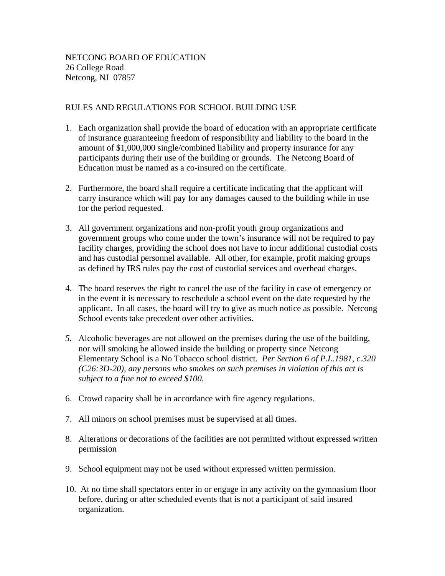## RULES AND REGULATIONS FOR SCHOOL BUILDING USE

- 1. Each organization shall provide the board of education with an appropriate certificate of insurance guaranteeing freedom of responsibility and liability to the board in the amount of \$1,000,000 single/combined liability and property insurance for any participants during their use of the building or grounds. The Netcong Board of Education must be named as a co-insured on the certificate.
- 2. Furthermore, the board shall require a certificate indicating that the applicant will carry insurance which will pay for any damages caused to the building while in use for the period requested.
- 3. All government organizations and non-profit youth group organizations and government groups who come under the town's insurance will not be required to pay facility charges, providing the school does not have to incur additional custodial costs and has custodial personnel available. All other, for example, profit making groups as defined by IRS rules pay the cost of custodial services and overhead charges.
- 4. The board reserves the right to cancel the use of the facility in case of emergency or in the event it is necessary to reschedule a school event on the date requested by the applicant. In all cases, the board will try to give as much notice as possible. Netcong School events take precedent over other activities.
- *5.* Alcoholic beverages are not allowed on the premises during the use of the building, nor will smoking be allowed inside the building or property since Netcong Elementary School is a No Tobacco school district. *Per Section 6 of P.L.1981, c.320 (C26:3D-20), any persons who smokes on such premises in violation of this act is subject to a fine not to exceed \$100.*
- 6. Crowd capacity shall be in accordance with fire agency regulations.
- 7. All minors on school premises must be supervised at all times.
- 8. Alterations or decorations of the facilities are not permitted without expressed written permission
- 9. School equipment may not be used without expressed written permission.
- 10. At no time shall spectators enter in or engage in any activity on the gymnasium floor before, during or after scheduled events that is not a participant of said insured organization.